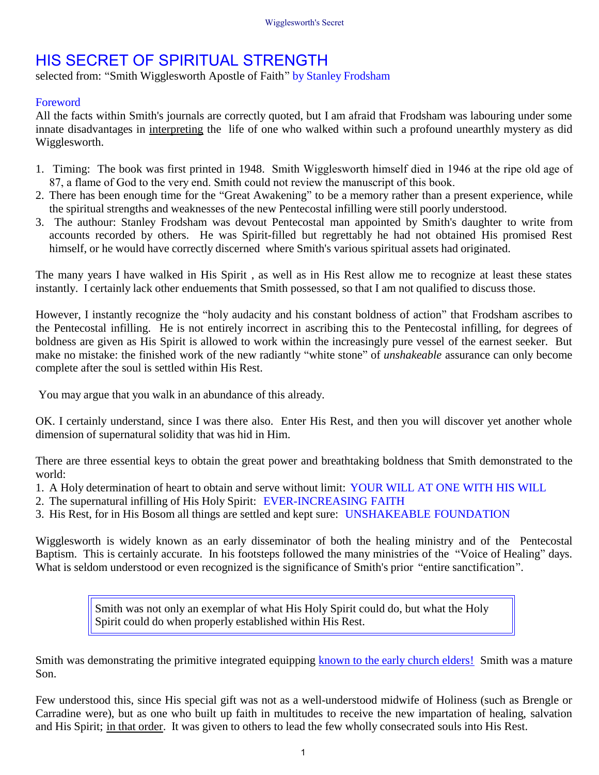# HIS SECRET OF SPIRITUAL STRENGTH

selected from: "Smith Wigglesworth Apostle of Faith" by Stanley Frodsham

### Foreword

All the facts within Smith's journals are correctly quoted, but I am afraid that Frodsham was labouring under some innate disadvantages in interpreting the life of one who walked within such a profound unearthly mystery as did Wigglesworth.

- 1. Timing: The book was first printed in 1948. Smith Wigglesworth himself died in 1946 at the ripe old age of 87, a flame of God to the very end. Smith could not review the manuscript of this book.
- 2. There has been enough time for the "Great Awakening" to be a memory rather than a present experience, while the spiritual strengths and weaknesses of the new Pentecostal infilling were still poorly understood.
- 3. The authour: Stanley Frodsham was devout Pentecostal man appointed by Smith's daughter to write from accounts recorded by others. He was Spirit-filled but regrettably he had not obtained His promised Rest himself, or he would have correctly discerned where Smith's various spiritual assets had originated.

The many years I have walked in His Spirit , as well as in His Rest allow me to recognize at least these states instantly. I certainly lack other enduements that Smith possessed, so that I am not qualified to discuss those.

However, I instantly recognize the "holy audacity and his constant boldness of action" that Frodsham ascribes to the Pentecostal infilling. He is not entirely incorrect in ascribing this to the Pentecostal infilling, for degrees of boldness are given as His Spirit is allowed to work within the increasingly pure vessel of the earnest seeker. But make no mistake: the finished work of the new radiantly " white stone" of *unshakeable* assurance can only become complete after the soul is settled within His Rest.

You may argue that you walk in an abundance of this already.

OK. I certainly understand, since I was there also. Enter His Rest, and then you will discover yet another whole dimension of supernatural solidity that was hid in Him.

There are three essential keys to obtain the great power and breathtaking boldness that Smith demonstrated to the world:

- 1. A Holy determination of heart to obtain and serve without limit: YOUR WILL AT ONE WITH HIS WILL
- 2. The supernatural infilling of His Holy Spirit: EVER-INCREASING FAITH
- 3. His Rest, for in His Bosom all things are settled and kept sure: UNSHAKEABLE FOUNDATION

Wigglesworth is widely known as an early disseminator of both the healing ministry and of the Pentecostal Baptism. This is certainly accurate. In his footsteps followed the many ministries of the " Voice of Healing" days. What is seldom understood or even recognized is the significance of Smith's prior "entire sanctification".

> Smith was not only an exemplar of what His Holy Spirit could do, but what the Holy Spirit could do when properly established within His Rest.

Smith was demonstrating the primitive integrated equipping known to the early church elders! Smith was a mature Son.

Few understood this, since His special gift was not as a well-understood midwife of Holiness (such as Brengle or Carradine were), but as one who built up faith in multitudes to receive the new impartation of healing, salvation and His Spirit; in that order. It was given to others to lead the few wholly consecrated souls into His Rest.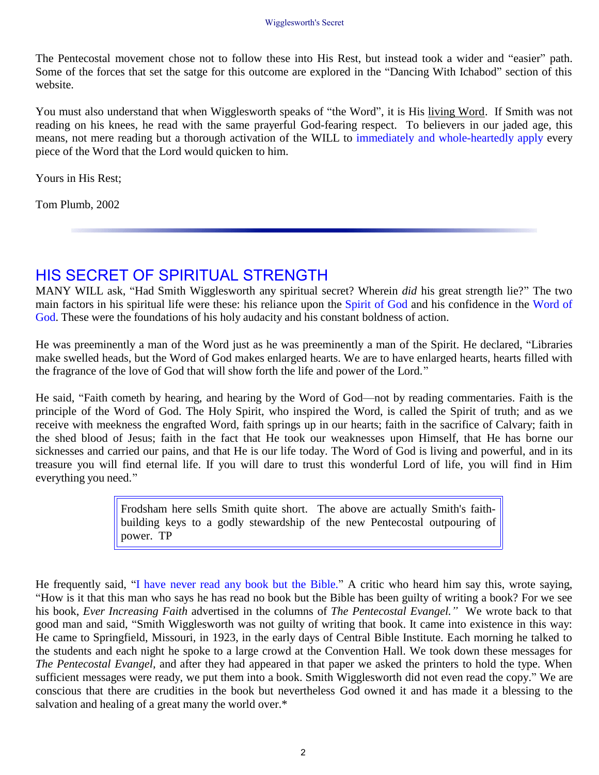The Pentecostal movement chose not to follow these into His Rest, but instead took a wider and " easier" path. Some of the forces that set the satge for this outcome are explored in the " Dancing With Ichabod" section of this website.

You must also understand that when Wigglesworth speaks of "the Word", it is His living Word. If Smith was not reading on his knees, he read with the same prayerful God-fearing respect. To believers in our jaded age, this means, not mere reading but a thorough activation of the WILL to immediately and whole-heartedly apply every piece of the Word that the Lord would quicken to him.

Yours in His Rest;

Tom Plumb, 2002

## HIS SECRET OF SPIRITUAL STRENGTH

MANY WILL ask, "Had Smith Wigglesworth any spiritual secret? Wherein *did* his great strength lie?" The two main factors in his spiritual life were these: his reliance upon the Spirit of God and his confidence in the Word of God. These were the foundations of his holy audacity and his constant boldness of action.

He was preeminently a man of the Word just as he was preeminently a man of the Spirit. He declared, " Libraries make swelled heads, but the Word of God makes enlarged hearts. We are to have enlarged hearts, hearts filled with the fragrance of the love of God that will show forth the life and power of the Lord."

He said, "Faith cometh by hearing, and hearing by the Word of God—not by reading commentaries. Faith is the principle of the Word of God. The Holy Spirit, who inspired the Word, is called the Spirit of truth; and as we receive with meekness the engrafted Word, faith springs up in our hearts; faith in the sacrifice of Calvary; faith in the shed blood of Jesus; faith in the fact that He took our weaknesses upon Himself, that He has borne our sicknesses and carried our pains, and that He is our life today. The Word of God is living and powerful, and in its treasure you will find eternal life. If you will dare to trust this wonderful Lord of life, you will find in Him everything you need."

> Frodsham here sells Smith quite short. The above are actually Smith's faithbuilding keys to a godly stewardship of the new Pentecostal outpouring of power. TP

He frequently said, "I have never read any book but the Bible." A critic who heard him say this, wrote saying, " How is it that this man who says he has read no book but the Bible has been guilty of writing a book? For we see his book, *Ever Increasing Faith* advertised in the columns of *The Pentecostal Evangel."* We wrote back to that good man and said, " Smith Wigglesworth was not guilty of writing that book. It came into existence in this way: He came to Springfield, Missouri, in 1923, in the early days of Central Bible Institute. Each morning he talked to the students and each night he spoke to a large crowd at the Convention Hall. We took down these messages for *The Pentecostal Evangel,* and after they had appeared in that paper we asked the printers to hold the type. When sufficient messages were ready, we put them into a book. Smith Wigglesworth did not even read the copy." We are conscious that there are crudities in the book but nevertheless God owned it and has made it a blessing to the salvation and healing of a great many the world over.\*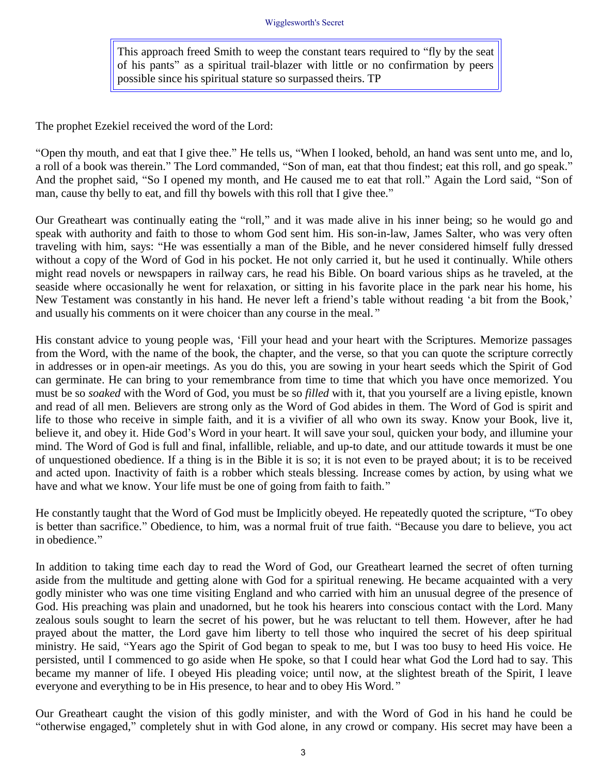This approach freed Smith to weep the constant tears required to "fly by the seat of his pants" as a spiritual trail-blazer with little or no confirmation by peers possible since his spiritual stature so surpassed theirs. TP

The prophet Ezekiel received the word of the Lord:

" Open thy mouth, and eat that I give thee." He tells us, " When I looked, behold, an hand was sent unto me, and lo, a roll of a book was therein." The Lord commanded, " Son of man, eat that thou findest; eat this roll, and go speak." And the prophet said, "So I opened my month, and He caused me to eat that roll." Again the Lord said, "Son of man, cause thy belly to eat, and fill thy bowels with this roll that I give thee."

Our Greatheart was continually eating the "roll," and it was made alive in his inner being; so he would go and speak with authority and faith to those to whom God sent him. His son-in-law, James Salter, who was very often traveling with him, says: " He was essentially a man of the Bible, and he never considered himself fully dressed without a copy of the Word of God in his pocket. He not only carried it, but he used it continually. While others might read novels or newspapers in railway cars, he read his Bible. On board various ships as he traveled, at the seaside where occasionally he went for relaxation, or sitting in his favorite place in the park near his home, his New Testament was constantly in his hand. He never left a friend's table without reading 'a bit from the Book,' and usually his comments on it were choicer than any course in the meal."

His constant advice to young people was, 'Fill your head and your heart with the Scriptures. Memorize passages from the Word, with the name of the book, the chapter, and the verse, so that you can quote the scripture correctly in addresses or in open-air meetings. As you do this, you are sowing in your heart seeds which the Spirit of God can germinate. He can bring to your remembrance from time to time that which you have once memorized. You must be so *soaked* with the Word of God, you must be so *filled* with it, that you yourself are a living epistle, known and read of all men. Believers are strong only as the Word of God abides in them. The Word of God is spirit and life to those who receive in simple faith, and it is a vivifier of all who own its sway. Know your Book, live it, believe it, and obey it. Hide God's Word in your heart. It will save your soul, quicken your body, and illumine your mind. The Word of God is full and final, infallible, reliable, and up-to date, and our attitude towards it must be one of unquestioned obedience. If a thing is in the Bible it is so; it is not even to be prayed about; it is to be received and acted upon. Inactivity of faith is a robber which steals blessing. Increase comes by action, by using what we have and what we know. Your life must be one of going from faith to faith."

He constantly taught that the Word of God must be Implicitly obeyed. He repeatedly quoted the scripture, " To obey is better than sacrifice." Obedience, to him, was a normal fruit of true faith. " Because you dare to believe, you act in obedience."

In addition to taking time each day to read the Word of God, our Greatheart learned the secret of often turning aside from the multitude and getting alone with God for a spiritual renewing. He became acquainted with a very godly minister who was one time visiting England and who carried with him an unusual degree of the presence of God. His preaching was plain and unadorned, but he took his hearers into conscious contact with the Lord. Many zealous souls sought to learn the secret of his power, but he was reluctant to tell them. However, after he had prayed about the matter, the Lord gave him liberty to tell those who inquired the secret of his deep spiritual ministry. He said, " Years ago the Spirit of God began to speak to me, but I was too busy to heed His voice. He persisted, until I commenced to go aside when He spoke, so that I could hear what God the Lord had to say. This became my manner of life. I obeyed His pleading voice; until now, at the slightest breath of the Spirit, I leave everyone and everything to be in His presence, to hear and to obey His Word."

Our Greatheart caught the vision of this godly minister, and with the Word of God in his hand he could be " otherwise engaged," completely shut in with God alone, in any crowd or company. His secret may have been a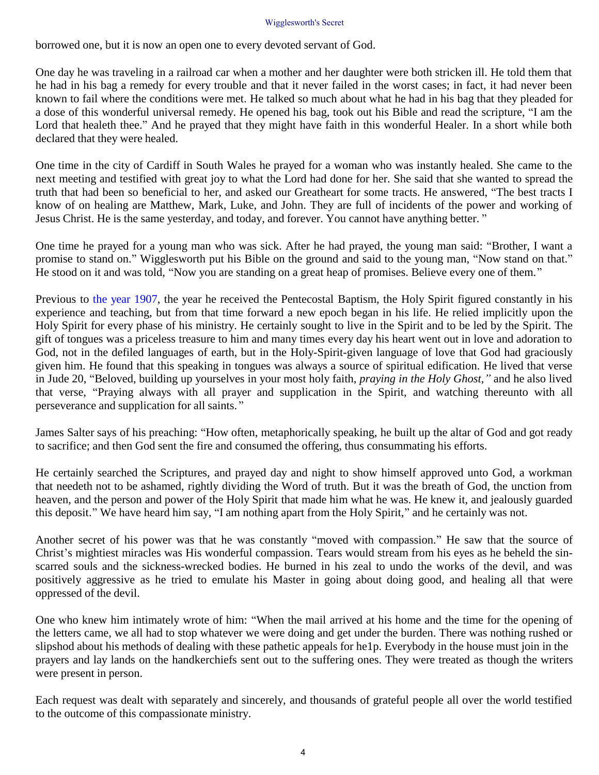borrowed one, but it is now an open one to every devoted servant of God.

One day he was traveling in a railroad car when a mother and her daughter were both stricken ill. He told them that he had in his bag a remedy for every trouble and that it never failed in the worst cases; in fact, it had never been known to fail where the conditions were met. He talked so much about what he had in his bag that they pleaded for a dose of this wonderful universal remedy. He opened his bag, took out his Bible and read the scripture, "I am the Lord that healeth thee." And he prayed that they might have faith in this wonderful Healer. In a short while both declared that they were healed.

One time in the city of Cardiff in South Wales he prayed for a woman who was instantly healed. She came to the next meeting and testified with great joy to what the Lord had done for her. She said that she wanted to spread the truth that had been so beneficial to her, and asked our Greatheart for some tracts. He answered, " The best tracts I know of on healing are Matthew, Mark, Luke, and John. They are full of incidents of the power and working of Jesus Christ. He is the same yesterday, and today, and forever. You cannot have anything better. "

One time he prayed for a young man who was sick. After he had prayed, the young man said: " Brother, I want a promise to stand on." Wigglesworth put his Bible on the ground and said to the young man, " Now stand on that." He stood on it and was told, " Now you are standing on a great heap of promises. Believe every one of them."

Previous to the year 1907, the year he received the Pentecostal Baptism, the Holy Spirit figured constantly in his experience and teaching, but from that time forward a new epoch began in his life. He relied implicitly upon the Holy Spirit for every phase of his ministry. He certainly sought to live in the Spirit and to be led by the Spirit. The gift of tongues was a priceless treasure to him and many times every day his heart went out in love and adoration to God, not in the defiled languages of earth, but in the Holy-Spirit-given language of love that God had graciously given him. He found that this speaking in tongues was always a source of spiritual edification. He lived that verse in Jude 20, " Beloved, building up yourselves in your most holy faith, *praying in the Holy Ghost,"* and he also lived that verse, " Praying always with all prayer and supplication in the Spirit, and watching thereunto with all perseverance and supplication for all saints."

James Salter says of his preaching: " How often, metaphorically speaking, he built up the altar of God and got ready to sacrifice; and then God sent the fire and consumed the offering, thus consummating his efforts.

He certainly searched the Scriptures, and prayed day and night to show himself approved unto God, a workman that needeth not to be ashamed, rightly dividing the Word of truth. But it was the breath of God, the unction from heaven, and the person and power of the Holy Spirit that made him what he was. He knew it, and jealously guarded this deposit." We have heard him say, "I am nothing apart from the Holy Spirit," and he certainly was not.

Another secret of his power was that he was constantly "moved with compassion." He saw that the source of Christ's mightiest miracles was His wonderful compassion. Tears would stream from his eyes as he beheld the sinscarred souls and the sickness-wrecked bodies. He burned in his zeal to undo the works of the devil, and was positively aggressive as he tried to emulate his Master in going about doing good, and healing all that were oppressed of the devil.

One who knew him intimately wrote of him: " When the mail arrived at his home and the time for the opening of the letters came, we all had to stop whatever we were doing and get under the burden. There was nothing rushed or slipshod about his methods of dealing with these pathetic appeals for he1p. Everybody in the house must join in the prayers and lay lands on the handkerchiefs sent out to the suffering ones. They were treated as though the writers were present in person.

Each request was dealt with separately and sincerely, and thousands of grateful people all over the world testified to the outcome of this compassionate ministry.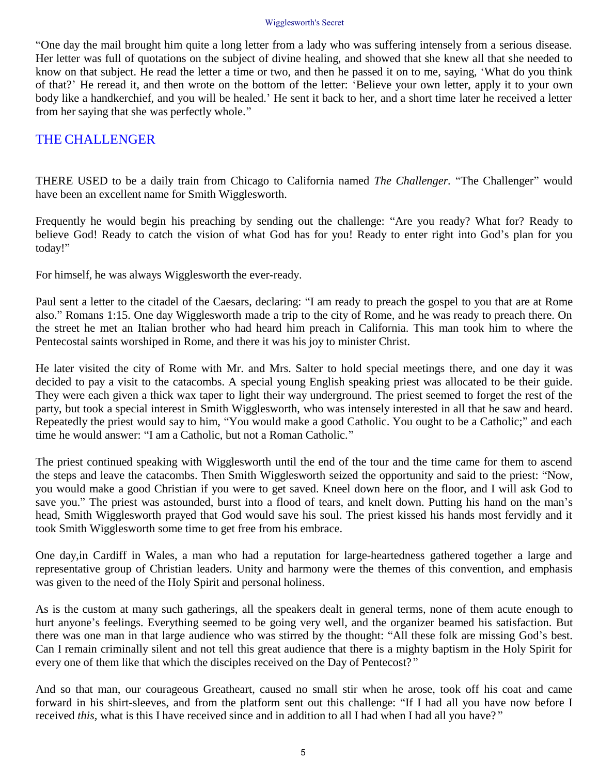" One day the mail brought him quite a long letter from a lady who was suffering intensely from a serious disease. Her letter was full of quotations on the subject of divine healing, and showed that she knew all that she needed to know on that subject. He read the letter a time or two, and then he passed it on to me, saying, 'What do you think of that?' He reread it, and then wrote on the bottom of the letter: 'Believe your own letter, apply it to your own body like a handkerchief, and you will be healed.' He sent it back to her, and a short time later he received a letter from her saying that she was perfectly whole."

## THE CHALLENGER

THERE USED to be a daily train from Chicago to California named *The Challenger.* " The Challenger" would have been an excellent name for Smith Wigglesworth.

Frequently he would begin his preaching by sending out the challenge: " Are you ready? What for? Ready to believe God! Ready to catch the vision of what God has for you! Ready to enter right into God's plan for you today!"

For himself, he was always Wigglesworth the ever-ready.

Paul sent a letter to the citadel of the Caesars, declaring: "I am ready to preach the gospel to you that are at Rome also." Romans 1:15. One day Wigglesworth made a trip to the city of Rome, and he was ready to preach there. On the street he met an Italian brother who had heard him preach in California. This man took him to where the Pentecostal saints worshiped in Rome, and there it was his joy to minister Christ.

He later visited the city of Rome with Mr. and Mrs. Salter to hold special meetings there, and one day it was decided to pay a visit to the catacombs. A special young English speaking priest was allocated to be their guide. They were each given a thick wax taper to light their way underground. The priest seemed to forget the rest of the party, but took a special interest in Smith Wigglesworth, who was intensely interested in all that he saw and heard. Repeatedly the priest would say to him, " You would make a good Catholic. You ought to be a Catholic;" and each time he would answer: "I am a Catholic, but not a Roman Catholic."

The priest continued speaking with Wigglesworth until the end of the tour and the time came for them to ascend the steps and leave the catacombs. Then Smith Wigglesworth seized the opportunity and said to the priest: " Now, you would make a good Christian if you were to get saved. Kneel down here on the floor, and I will ask God to save you." The priest was astounded, burst into a flood of tears, and knelt down. Putting his hand on the man's head, Smith Wigglesworth prayed that God would save his soul. The priest kissed his hands most fervidly and it took Smith Wigglesworth some time to get free from his embrace.

One day,in Cardiff in Wales, a man who had a reputation for large-heartedness gathered together a large and representative group of Christian leaders. Unity and harmony were the themes of this convention, and emphasis was given to the need of the Holy Spirit and personal holiness.

As is the custom at many such gatherings, all the speakers dealt in general terms, none of them acute enough to hurt anyone's feelings. Everything seemed to be going very well, and the organizer beamed his satisfaction. But there was one man in that large audience who was stirred by the thought: " All these folk are missing God's best. Can I remain criminally silent and not tell this great audience that there is a mighty baptism in the Holy Spirit for every one of them like that which the disciples received on the Day of Pentecost?"

And so that man, our courageous Greatheart, caused no small stir when he arose, took off his coat and came forward in his shirt-sleeves, and from the platform sent out this challenge: " If I had all you have now before I received *this,* what is this I have received since and in addition to all I had when I had all you have? "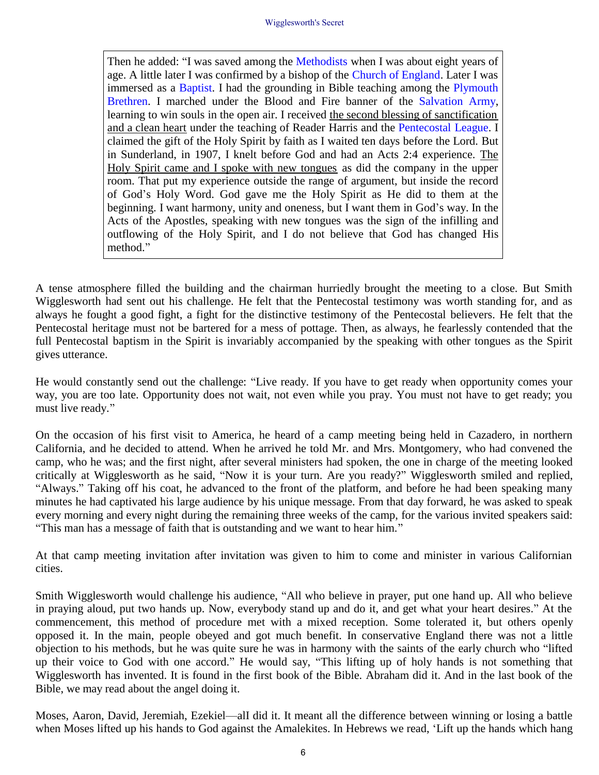Then he added: "I was saved among the Methodists when I was about eight years of age. A little later I was confirmed by a bishop of the Church of England. Later I was immersed as a Baptist. I had the grounding in Bible teaching among the Plymouth Brethren. I marched under the Blood and Fire banner of the Salvation Army, learning to win souls in the open air. I received the second blessing of sanctification and a clean heart under the teaching of Reader Harris and the Pentecostal League. I claimed the gift of the Holy Spirit by faith as I waited ten days before the Lord. But in Sunderland, in 1907, I knelt before God and had an Acts 2:4 experience. The Holy Spirit came and I spoke with new tongues as did the company in the upper room. That put my experience outside the range of argument, but inside the record of God's Holy Word. God gave me the Holy Spirit as He did to them at the beginning. I want harmony, unity and oneness, but I want them in God's way. In the Acts of the Apostles, speaking with new tongues was the sign of the infilling and outflowing of the Holy Spirit, and I do not believe that God has changed His method."

A tense atmosphere filled the building and the chairman hurriedly brought the meeting to a close. But Smith Wigglesworth had sent out his challenge. He felt that the Pentecostal testimony was worth standing for, and as always he fought a good fight, a fight for the distinctive testimony of the Pentecostal believers. He felt that the Pentecostal heritage must not be bartered for a mess of pottage. Then, as always, he fearlessly contended that the full Pentecostal baptism in the Spirit is invariably accompanied by the speaking with other tongues as the Spirit gives utterance.

He would constantly send out the challenge: " Live ready. If you have to get ready when opportunity comes your way, you are too late. Opportunity does not wait, not even while you pray. You must not have to get ready; you must live ready."

On the occasion of his first visit to America, he heard of a camp meeting being held in Cazadero, in northern California, and he decided to attend. When he arrived he told Mr. and Mrs. Montgomery, who had convened the camp, who he was; and the first night, after several ministers had spoken, the one in charge of the meeting looked critically at Wigglesworth as he said, " Now it is your turn. Are you ready?" Wigglesworth smiled and replied, " Always." Taking off his coat, he advanced to the front of the platform, and before he had been speaking many minutes he had captivated his large audience by his unique message. From that day forward, he was asked to speak every morning and every night during the remaining three weeks of the camp, for the various invited speakers said: " This man has a message of faith that is outstanding and we want to hear him."

At that camp meeting invitation after invitation was given to him to come and minister in various Californian cities.

Smith Wigglesworth would challenge his audience, " All who believe in prayer, put one hand up. All who believe in praying aloud, put two hands up. Now, everybody stand up and do it, and get what your heart desires." At the commencement, this method of procedure met with a mixed reception. Some tolerated it, but others openly opposed it. In the main, people obeyed and got much benefit. In conservative England there was not a little objection to his methods, but he was quite sure he was in harmony with the saints of the early church who " lifted up their voice to God with one accord." He would say, " This lifting up of holy hands is not something that Wigglesworth has invented. It is found in the first book of the Bible. Abraham did it. And in the last book of the Bible, we may read about the angel doing it.

Moses, Aaron, David, Jeremiah, Ezekiel—alI did it. It meant all the difference between winning or losing a battle when Moses lifted up his hands to God against the Amalekites. In Hebrews we read, 'Lift up the hands which hang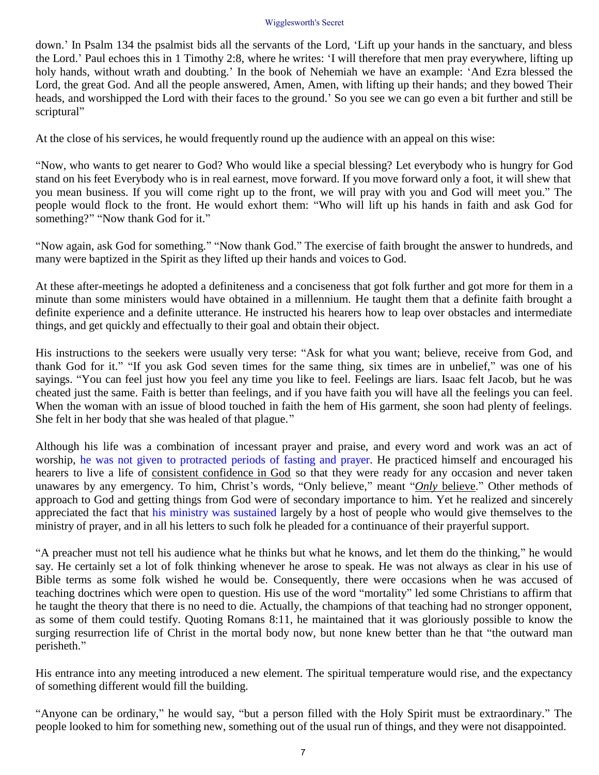down.' In Psalm 134 the psalmist bids all the servants of the Lord, 'Lift up your hands in the sanctuary, and bless the Lord.'Paul echoes this in 1 Timothy 2:8, where he writes: 'I will therefore that men pray everywhere, lifting up holy hands, without wrath and doubting.' In the book of Nehemiah we have an example: 'And Ezra blessed the Lord, the great God. And all the people answered, Amen, Amen, with lifting up their hands; and they bowed Their heads, and worshipped the Lord with their faces to the ground.'So you see we can go even a bit further and still be scriptural"

At the close of his services, he would frequently round up the audience with an appeal on this wise:

" Now, who wants to get nearer to God? Who would like a special blessing? Let everybody who is hungry for God stand on his feet Everybody who is in real earnest, move forward. If you move forward only a foot, it will shew that you mean business. If you will come right up to the front, we will pray with you and God will meet you." The people would flock to the front. He would exhort them: " Who will lift up his hands in faith and ask God for something?" "Now thank God for it."

" Now again, ask God for something." " Now thank God." The exercise of faith brought the answer to hundreds, and many were baptized in the Spirit as they lifted up their hands and voices to God.

At these after-meetings he adopted a definiteness and a conciseness that got folk further and got more for them in a minute than some ministers would have obtained in a millennium. He taught them that a definite faith brought a definite experience and a definite utterance. He instructed his hearers how to leap over obstacles and intermediate things, and get quickly and effectually to their goal and obtain their object.

His instructions to the seekers were usually very terse: " Ask for what you want; believe, receive from God, and thank God for it." "If you ask God seven times for the same thing, six times are in unbelief," was one of his sayings. "You can feel just how you feel any time you like to feel. Feelings are liars. Isaac felt Jacob, but he was cheated just the same. Faith is better than feelings, and if you have faith you will have all the feelings you can feel. When the woman with an issue of blood touched in faith the hem of His garment, she soon had plenty of feelings. She felt in her body that she was healed of that plague."

Although his life was a combination of incessant prayer and praise, and every word and work was an act of worship, he was not given to protracted periods of fasting and prayer. He practiced himself and encouraged his hearers to live a life of consistent confidence in God so that they were ready for any occasion and never taken unawares by any emergency. To him, Christ's words, "Only believe," meant "Only believe." Other methods of approach to God and getting things from God were of secondary importance to him. Yet he realized and sincerely appreciated the fact that his ministry was sustained largely by a host of people who would give themselves to the ministry of prayer, and in all his letters to such folk he pleaded for a continuance of their prayerful support.

" A preacher must not tell his audience what he thinks but what he knows, and let them do the thinking," he would say. He certainly set a lot of folk thinking whenever he arose to speak. He was not always as clear in his use of Bible terms as some folk wished he would be. Consequently, there were occasions when he was accused of teaching doctrines which were open to question. His use of the word " mortality" led some Christians to affirm that he taught the theory that there is no need to die. Actually, the champions of that teaching had no stronger opponent, as some of them could testify. Quoting Romans 8:11, he maintained that it was gloriously possible to know the surging resurrection life of Christ in the mortal body now, but none knew better than he that "the outward man perisheth."

His entrance into any meeting introduced a new element. The spiritual temperature would rise, and the expectancy of something different would fill the building.

" Anyone can be ordinary," he would say, " but a person filled with the Holy Spirit must be extraordinary." The people looked to him for something new, something out of the usual run of things, and they were not disappointed.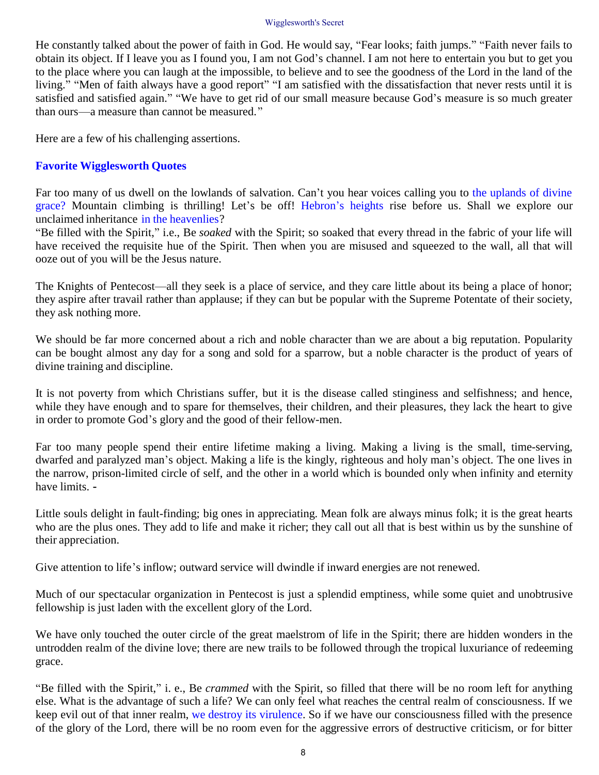He constantly talked about the power of faith in God. He would say, "Fear looks; faith jumps." "Faith never fails to obtain its object. If I leave you as I found you, I am not God's channel. I am not here to entertain you but to get you to the place where you can laugh at the impossible, to believe and to see the goodness of the Lord in the land of the living." "Men of faith always have a good report" "I am satisfied with the dissatisfaction that never rests until it is satisfied and satisfied again." "We have to get rid of our small measure because God's measure is so much greater than ours—a measure than cannot be measured."

Here are a few of his challenging assertions.

### **Favorite Wigglesworth Quotes**

Far too many of us dwell on the lowlands of salvation. Can't you hear voices calling you to the uplands of divine grace? Mountain climbing is thrilling! Let's be off! Hebron's heights rise before us. Shall we explore our unclaimed inheritance in the heavenlies?

" Be filled with the Spirit," i.e., Be *soaked* with the Spirit; so soaked that every thread in the fabric of your life will have received the requisite hue of the Spirit. Then when you are misused and squeezed to the wall, all that will ooze out of you will be the Jesus nature.

The Knights of Pentecost—all they seek is a place of service, and they care little about its being a place of honor; they aspire after travail rather than applause; if they can but be popular with the Supreme Potentate of their society, they ask nothing more.

We should be far more concerned about a rich and noble character than we are about a big reputation. Popularity can be bought almost any day for a song and sold for a sparrow, but a noble character is the product of years of divine training and discipline.

It is not poverty from which Christians suffer, but it is the disease called stinginess and selfishness; and hence, while they have enough and to spare for themselves, their children, and their pleasures, they lack the heart to give in order to promote God's glory and the good of their fellow-men.

Far too many people spend their entire lifetime making a living. Making a living is the small, time-serving, dwarfed and paralyzed man's object. Making a life is the kingly, righteous and holy man's object. The one lives in the narrow, prison-limited circle of self, and the other in a world which is bounded only when infinity and eternity have limits. -

Little souls delight in fault-finding; big ones in appreciating. Mean folk are always minus folk; it is the great hearts who are the plus ones. They add to life and make it richer; they call out all that is best within us by the sunshine of their appreciation.

Give attention to life's inflow; outward service will dwindle if inward energies are not renewed.

Much of our spectacular organization in Pentecost is just a splendid emptiness, while some quiet and unobtrusive fellowship is just laden with the excellent glory of the Lord.

We have only touched the outer circle of the great maelstrom of life in the Spirit; there are hidden wonders in the untrodden realm of the divine love; there are new trails to be followed through the tropical luxuriance of redeeming grace.

" Be filled with the Spirit," i. e., Be *crammed* with the Spirit, so filled that there will be no room left for anything else. What is the advantage of such a life? We can only feel what reaches the central realm of consciousness. If we keep evil out of that inner realm, we destroy its virulence. So if we have our consciousness filled with the presence of the glory of the Lord, there will be no room even for the aggressive errors of destructive criticism, or for bitter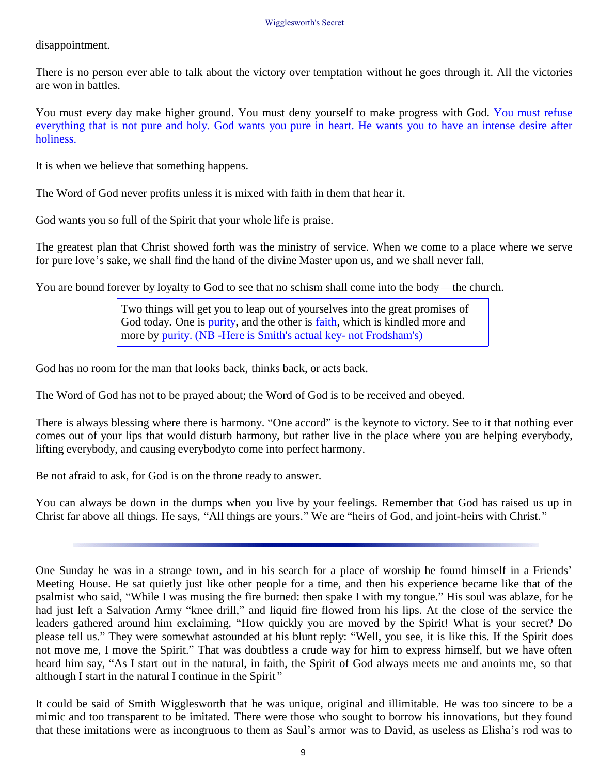disappointment.

There is no person ever able to talk about the victory over temptation without he goes through it. All the victories are won in battles.

You must every day make higher ground. You must deny yourself to make progress with God. You must refuse everything that is not pure and holy. God wants you pure in heart. He wants you to have an intense desire after holiness.

It is when we believe that something happens.

The Word of God never profits unless it is mixed with faith in them that hear it.

God wants you so full of the Spirit that your whole life is praise.

The greatest plan that Christ showed forth was the ministry of service. When we come to a place where we serve for pure love's sake, we shall find the hand of the divine Master upon us, and we shall never fall.

You are bound forever by loyalty to God to see that no schism shall come into the body — the church.

Two things will get you to leap out of yourselves into the great promises of God today. One is purity, and the other is faith, which is kindled more and more by purity. (NB -Here is Smith's actual key- not Frodsham's)

God has no room for the man that looks back, thinks back, or acts back.

The Word of God has not to be prayed about; the Word of God is to be received and obeyed.

There is always blessing where there is harmony. "One accord" is the keynote to victory. See to it that nothing ever comes out of your lips that would disturb harmony, but rather live in the place where you are helping everybody, lifting everybody, and causing everybodyto come into perfect harmony.

Be not afraid to ask, for God is on the throne ready to answer.

You can always be down in the dumps when you live by your feelings. Remember that God has raised us up in Christ far above all things. He says, " All things are yours." We are " heirs of God, and joint-heirs with Christ."

It could be said of Smith Wigglesworth that he was unique, original and illimitable. He was too sincere to be a mimic and too transparent to be imitated. There were those who sought to borrow his innovations, but they found that these imitations were as incongruous to them as Saul's armor was to David, as useless as Elisha's rod was to

One Sunday he was in a strange town, and in his search for a place of worship he found himself in a Friends' Meeting House. He sat quietly just like other people for a time, and then his experience became like that of the psalmist who said, " While I was musing the fire burned: then spake I with my tongue." His soul was ablaze, for he had just left a Salvation Army "knee drill," and liquid fire flowed from his lips. At the close of the service the leaders gathered around him exclaiming, " How quickly you are moved by the Spirit! What is your secret? Do please tell us." They were somewhat astounded at his blunt reply: " Well, you see, it is like this. If the Spirit does not move me, I move the Spirit." That was doubtless a crude way for him to express himself, but we have often heard him say, " As I start out in the natural, in faith, the Spirit of God always meets me and anoints me, so that although I start in the natural I continue in the Spirit"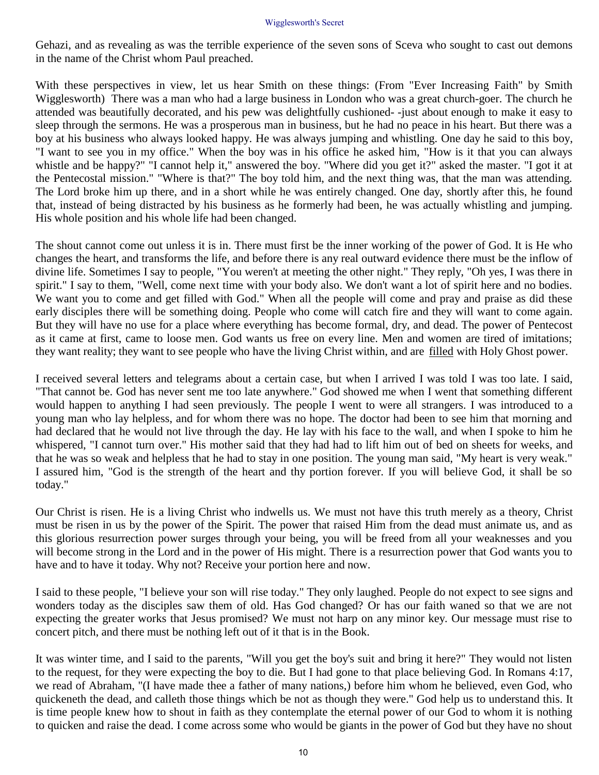Gehazi, and as revealing as was the terrible experience of the seven sons of Sceva who sought to cast out demons in the name of the Christ whom Paul preached.

With these perspectives in view, let us hear Smith on these things: (From "Ever Increasing Faith" by Smith Wigglesworth) There was a man who had a large business in London who was a great church-goer. The church he attended was beautifully decorated, and his pew was delightfully cushioned- -just about enough to make it easy to sleep through the sermons. He was a prosperous man in business, but he had no peace in his heart. But there was a boy at his business who always looked happy. He was always jumping and whistling. One day he said to this boy, "I want to see you in my office." When the boy was in his office he asked him, "How is it that you can always whistle and be happy?" "I cannot help it," answered the boy. "Where did you get it?" asked the master. "I got it at the Pentecostal mission." "Where is that?" The boy told him, and the next thing was, that the man was attending. The Lord broke him up there, and in a short while he was entirely changed. One day, shortly after this, he found that, instead of being distracted by his business as he formerly had been, he was actually whistling and jumping. His whole position and his whole life had been changed.

The shout cannot come out unless it is in. There must first be the inner working of the power of God. It is He who changes the heart, and transforms the life, and before there is any real outward evidence there must be the inflow of divine life. Sometimes I say to people, "You weren't at meeting the other night." They reply, "Oh yes, I was there in spirit." I say to them, "Well, come next time with your body also. We don't want a lot of spirit here and no bodies. We want you to come and get filled with God." When all the people will come and pray and praise as did these early disciples there will be something doing. People who come will catch fire and they will want to come again. But they will have no use for a place where everything has become formal, dry, and dead. The power of Pentecost as it came at first, came to loose men. God wants us free on every line. Men and women are tired of imitations; they want reality; they want to see people who have the living Christ within, and are filled with Holy Ghost power.

I received several letters and telegrams about a certain case, but when I arrived I was told I was too late. I said, "That cannot be. God has never sent me too late anywhere." God showed me when I went that something different would happen to anything I had seen previously. The people I went to were all strangers. I was introduced to a young man who lay helpless, and for whom there was no hope. The doctor had been to see him that morning and had declared that he would not live through the day. He lay with his face to the wall, and when I spoke to him he whispered, "I cannot turn over." His mother said that they had had to lift him out of bed on sheets for weeks, and that he was so weak and helpless that he had to stay in one position. The young man said, "My heart is very weak." I assured him, "God is the strength of the heart and thy portion forever. If you will believe God, it shall be so today."

Our Christ is risen. He is a living Christ who indwells us. We must not have this truth merely as a theory, Christ must be risen in us by the power of the Spirit. The power that raised Him from the dead must animate us, and as this glorious resurrection power surges through your being, you will be freed from all your weaknesses and you will become strong in the Lord and in the power of His might. There is a resurrection power that God wants you to have and to have it today. Why not? Receive your portion here and now.

I said to these people, "I believe your son will rise today." They only laughed. People do not expect to see signs and wonders today as the disciples saw them of old. Has God changed? Or has our faith waned so that we are not expecting the greater works that Jesus promised? We must not harp on any minor key. Our message must rise to concert pitch, and there must be nothing left out of it that is in the Book.

It was winter time, and I said to the parents, "Will you get the boy's suit and bring it here?" They would not listen to the request, for they were expecting the boy to die. But I had gone to that place believing God. In Romans 4:17, we read of Abraham, "(I have made thee a father of many nations,) before him whom he believed, even God, who quickeneth the dead, and calleth those things which be not as though they were." God help us to understand this. It is time people knew how to shout in faith as they contemplate the eternal power of our God to whom it is nothing to quicken and raise the dead. I come across some who would be giants in the power of God but they have no shout